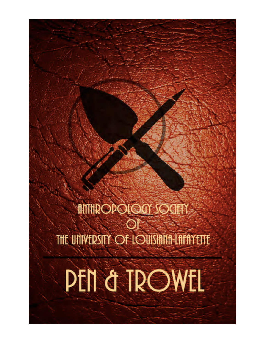**MITHROPOLOGY SOCIETY** THE UNIVERSITY OF LOUISIANA-LAFAYETTE

**PEN & TROWEL**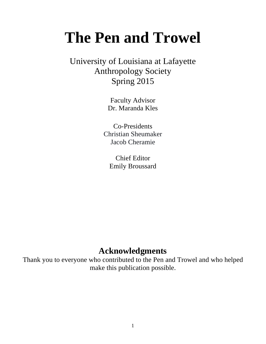# **The Pen and Trowel**

University of Louisiana at Lafayette Anthropology Society Spring 2015

> Faculty Advisor Dr. Maranda Kles

Co-Presidents Christian Sheumaker Jacob Cheramie

> Chief Editor Emily Broussard

# **Acknowledgments**

Thank you to everyone who contributed to the Pen and Trowel and who helped make this publication possible.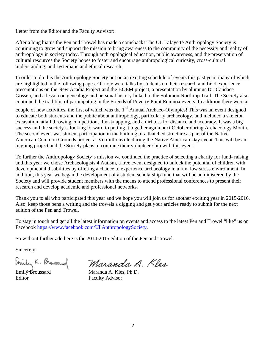Letter from the Editor and the Faculty Advisor:

After a long hiatus the Pen and Trowel has made a comeback! The UL Lafayette Anthropology Society is continuing to grow and support the mission to bring awareness to the community of the necessity and reality of anthropology in society today. Through anthropological education, public awareness, and the preservation of cultural resources the Society hopes to foster and encourage anthropological curiosity, cross-cultural understanding, and systematic and ethical research.

In order to do this the Anthropology Society put on an exciting schedule of events this past year, many of which are highlighted in the following pages. Of note were talks by students on their research and field experience, presentations on the New Acadia Project and the BOEM project, a presentation by alumnus Dr. Candace Gossen, and a lesson on genealogy and personal history linked to the Solomon Northrup Trail. The Society also continued the tradition of participating in the Friends of Poverty Point Equinox events. In addition there were a

couple of new activities, the first of which was the  $1<sup>st</sup>$  Annual Archaeo-Olympics! This was an event designed to educate both students and the public about anthropology, particularly archaeology, and included a skeleton excavation, atlatl throwing competition, flint-knapping, and a dirt toss for distance and accuracy. It was a big success and the society is looking forward to putting it together again next October during Archaeology Month. The second event was student participation in the building of a thatched structure as part of the Native American Common Grounds project at Vermillionville during the Native American Day event. This will be an ongoing project and the Society plans to continue their volunteer-ship with this event.

To further the Anthropology Society's mission we continued the practice of selecting a charity for fund- raising and this year we chose Archaeologists 4 Autism, a free event designed to unlock the potential of children with developmental disabilities by offering a chance to experience archaeology in a fun, low stress environment. In addition, this year we began the development of a student scholarship fund that will be administered by the Society and will provide student members with the means to attend professional conferences to present their research and develop academic and professional networks.

Thank you to all who participated this year and we hope you will join us for another exciting year in 2015-2016. Also, keep those pens a writing and the trowels a digging and get your articles ready to submit for the next edition of the Pen and Trowel.

To stay in touch and get all the latest information on events and access to the latest Pen and Trowel "like" us on Facebook https://www.facebook.com/UllAnthropologySociety.

So without further ado here is the 2014-2015 edition of the Pen and Trowel.

Sincerely,

Editor Faculty Advisor

Emily K. Browsound Maranda A Maranda A. Kles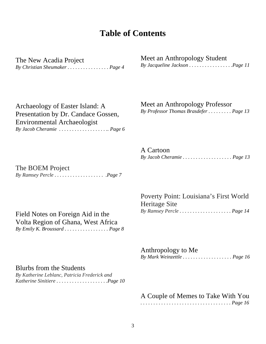# **Table of Contents**

The New Acadia Project *By Christian Sheumaker . . . . . . . . . . . . . . . . Page 4* Meet an Anthropology Student *By Jacqueline Jackson . . . . . . . . . . . . . . . . .Page 11*

Archaeology of Easter Island: A Presentation by Dr. Candace Gossen, Environmental Archaeologist *By Jacob Cheramie . . . . . . . . . . . . . . . . . . .. Page 6*

# Meet an Anthropology Professor

*By Professor Thomas Brasdefer . . . . . . . . . Page 13*

A Cartoon *By Jacob Cheramie . . . . . . . . . . . . . . . . . . . Page 13*

The BOEM Project *By Ramsey Percle . . . . . . . . . . . . . . . . . . . .Page 7*

> Poverty Point: Louisiana's First World Heritage Site *By Ramsey Percle . . . . . . . . . . . . . . . . . . . . Page 14*

> Anthropology to Me *By Mark Weinzettle . . . . . . . . . . . . . . . . . . . Page 16*

## Blurbs from the Students

*By Katherine Leblanc, Patricia Frederick and Katherine Sinitiere . . . . . . . . . . . . . . . . . . . .Page 10*

Field Notes on Foreign Aid in the

Volta Region of Ghana, West Africa *By Emily K. Broussard . . . . . . . . . . . . . . . . . Page 8* 

A Couple of Memes to Take With You

*. . . . . . . . . . . . . . . . . . . . . . . . . . . . . . . . . . . Page 16*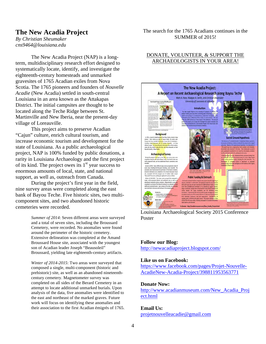#### **The New Acadia Project**

*By Christian Sheumaker cns9464@louisiana.edu*

The New Acadia Project (NAP) is a longterm, multidisciplinary research effort designed to systematically locate, identify, and investigate the eighteenth-century homesteads and unmarked gravesites of 1765 Acadian exiles from Nova Scotia. The 1765 pioneers and founders of *Nouvelle Acadie* (New Acadia) settled in south-central Louisiana in an area known as the Attakapas District. The initial campsites are thought to be located along the Teche Ridge between St. Martinville and New Iberia, near the present-day village of Loreauville.

This project aims to preserve Acadian "Cajun" culture, enrich cultural tourism, and increase economic tourism and development for the state of Louisiana. As a public archaeological project, NAP is 100% funded by public donations, a rarity in Louisiana Archaeology and the first project of its kind. The project owes its  $1<sup>st</sup>$  year success to enormous amounts of local, state, and national support, as well as, outreach from Canada.

During the project's first year in the field, nine survey areas were completed along the east bank of Bayou Teche. Five historic sites, two multicomponent sites, and two abandoned historic cemeteries were recorded.

> *Summer of 2014*: Seven different areas were surveyed and a total of seven sites, including the Broussard Cemetery, were recorded. No anomalies were found around the perimeter of the historic cemetery. Extensive delineation was completed at the Amand Broussard House site, associated with the youngest son of Acadian leader Joseph "Beausoleil" Broussard, yielding late eighteenth-century artifacts.

*Winter of 2014-2015*: Two areas were surveyed that composed a single, multi-component (historic and prehistoric) site, as well as an abandoned nineteenthcentury cemetery. Magnetometer survey was completed on all sides of the Berard Cemetery in an attempt to locate additional unmarked burials. Upon analysis of the data, five anomalies were identified to the east and northeast of the marked graves. Future work will focus on identifying these anomalies and their association to the first Acadian émigrés of 1765. The search for the 1765 Acadians continues in the SUMMER of 2015!

#### DONATE, VOLUNTEER, & SUPPORT THE ARCHAEOLOGISTS IN YOUR AREA!



Louisiana Archaeological Society 2015 Conference Poster

#### **Follow our Blog:**

http://newacadiaproject.blogspot.com/

#### **Like us on Facebook:**

https://www.facebook.com/pages/Projet-Nouvelle-AcadieNew-Acadia-Project/398811953563771

#### **Donate Now:**

http://www.acadianmuseum.com/New\_Acadia\_Proj ect.html

#### **Email Us:**

projetnouvelleacadie@gmail.com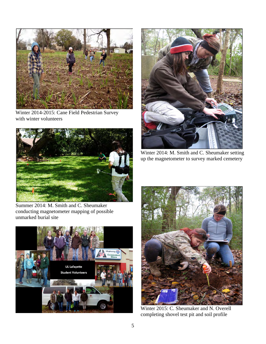

Winter 2014-2015: Cane Field Pedestrian Survey with winter volunteers





Winter 2014: M. Smith and C. Sheumaker setting up the magnetometer to survey marked cemetery

Summer 2014: M. Smith and C. Sheumaker conducting magnetometer mapping of possible unmarked burial site





Winter 2015: C. Sheumaker and N. Overell completing shovel test pit and soil profile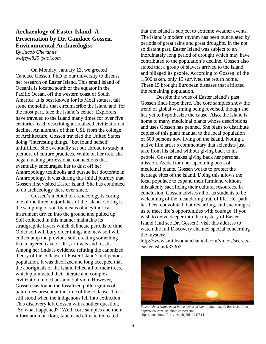#### **Archaeology of Easter Island: A Presentation by Dr. Candace Gossen, Environmental Archaeologist**

*By Jacob Cheramie wolfeye825@aol.com*

On Monday, January 13, we greeted Candace Gossen, PhD to our university to discuss her research on Easter Island. This small island of Oceania is located south of the equator in the Pacific Ocean, off the western coast of South America. It is best known for its Moai statues, tall stone monoliths that circumscribe the island and, for the most part, face the island's center. Explorers have traveled to the island many times for over five centuries, each describing a ritualized civilization in decline. An alumnus of then USL from the college of Architecture, Gossen traveled the United States doing "interesting things," but found herself unfulfilled. She eventually set out abroad to study a plethora of culture practices. While on her trek, she began making professional connections that eventually encouraged her to dust off her Anthropology textbooks and pursue her doctorate in Anthropology. It was during this initial journey that Gossen first visited Easter Island. She has continued to do archaeology there ever since.

Gossen's method of archaeology is coring one of the three major lakes of the island. Coring is the sampling of soil by means of a cylindrical instrument driven into the ground and pulled up. Soil collected in this manner maintains its stratigraphic layers which delineate periods of time. Older soil will bury older things and new soil will collect atop the previous soil, creating something like a layered cake of dirt, artifacts and fossils. Among her finds is evidence refuting the canonized theory of the collapse of Easter Island's indigenous population. It was theorized and long accepted that the aboriginals of the island felled all of their trees, which plummeted their literate and complex civilization into chaos and oblivion. However, Gossen has found the fossilized pollen grains of palm trees present at the time of the collapse. Trees still stood when the indigenous fell into extinction. This discovery left Gossen with another question, "So what happened?" Well, core samples and their information on flora, fauna and climate indicated

that the island is subject to extreme weather events. The island's modern rhythm has been punctuated by periods of great rains and great droughts. In the not so distant past, Easter Island was subject to an inordinately long period of drought which may have contributed to the population's decline. Gossen also stated that a group of slavers arrived to the island and pillaged its people. According to Gossen, of the 1,500 taken, only 15 survived the return home. These 15 brought European diseases that afflicted the remaining population.

Despite the woes of Easter Island's past, Gossen finds hope there. The core samples show the trend of global warming being reversed, though she has yet to hypothesize the cause. Also, the island is home to many medicinal plants whose descriptions and uses Gossen has penned. She plans to distribute copies of this plant manual to the local population of 500 persons now living on the island. Noting a native film artist's commentary that scientists just take from his island without giving back to his people, Gossen makes giving back her personal mission. Aside from her upcoming book of medicinal plants, Gossen works to protect the heritage sites of the island. Doing this allows the local populace to expand their farmland without mistakenly sacrificing their cultural resources. In conclusion, Gossen advises all of us students to be welcoming of the meandering trail of life. Her path has been convoluted, but rewarding, and encourages us to meet life's opportunities with courage. If you wish to delve deeper into the mystery of Easter Island (and see Dr. Gossen), visit this address to watch the full Discovery channel special concerning the mystery,

http://www.smithsonianchannel.com/videos/secretseaster-island/33302



*Easter island statue moai in the beams of sun* [digital image]. Retrieved from http://www.canstockphoto.com/vectorclipart/moai.html#file\_view.php?id=12475141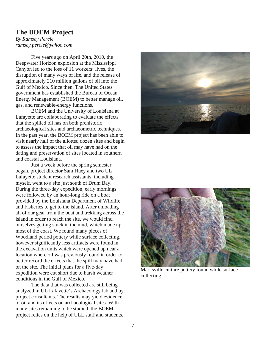## **The BOEM Project**

*By Ramsey Percle ramsey.percle@yahoo.com*

Five years ago on April 20th, 2010, the Deepwater Horizon explosion at the Mississippi Canyon led to the loss of 11 workers' lives, the disruption of many ways of life, and the release of approximately 210 million gallons of oil into the Gulf of Mexico. Since then, The United States government has established the Bureau of Ocean Energy Management (BOEM) to better manage oil, gas, and renewable-energy functions.

BOEM and the University of Louisiana at Lafayette are collaborating to evaluate the effects that the spilled oil has on both prehistoric archaeological sites and archaeometric techniques. In the past year, the BOEM project has been able to visit nearly half of the allotted dozen sites and begin to assess the impact that oil may have had on the dating and preservation of sites located in southern and coastal Louisiana.

Just a week before the spring semester began, project director Sam Huey and two UL Lafayette student research assistants, including myself, went to a site just south of Drum Bay. During the three-day expedition, early mornings were followed by an hour-long ride on a boat provided by the Louisiana Department of Wildlife and Fisheries to get to the island. After unloading all of our gear from the boat and trekking across the island in order to reach the site, we would find ourselves getting stuck in the mud, which made up most of the coast. We found many pieces of Woodland period pottery while surface collecting, however significantly less artifacts were found in the excavation units which were opened up near a location where oil was previously found in order to better record the effects that the spill may have had on the site. The initial plans for a five-day expedition were cut short due to harsh weather conditions in the Gulf of Mexico.

The data that was collected are still being analyzed in UL Lafayette's Archaeology lab and by project consultants. The results may yield evidence of oil and its effects on archaeological sites. With many sites remaining to be studied, the BOEM project relies on the help of ULL staff and students.





Marksville culture pottery found while surface collecting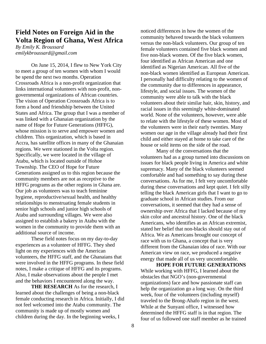# **Field Notes on Foreign Aid in the Volta Region of Ghana, West Africa**

*By Emily K. Broussard emilykbroussard@gmail.com*

On June 15, 2014, I flew to New York City to meet a group of ten women with whom I would be spend the next two months. Operation Crossroads Africa is a non-profit organization that links international volunteers with non-profit, nongovernmental organizations of African countries. The vision of Operation Crossroads Africa is to form a bond and friendship between the United States and Africa. The group that I was a member of was linked with a Ghanaian organization by the name of Hope for Future Generations (HFFG), whose mission is to serve and empower women and children. This organization, which is based in Accra, has satellite offices in many of the Ghanaian regions. We were stationed in the Volta region. Specifically, we were located in the village of Atabu, which is located outside of Hohoe Township. The CEO of Hope for Future Generations assigned us to this region because the community members are not as receptive to the HFFG programs as the other regions in Ghana are. Our job as volunteers was to teach feminine hygiene, reproductive/sexual health, and healthy relationships to menstruating female students in senior high schools and junior high schools of Atabu and surrounding villages. We were also assigned to establish a bakery in Atabu with the women in the community to provide them with an additional source of income.

These field notes focus on my day-to-day experiences as a volunteer of HFFG. They shed light on my experiences with the American volunteers, the HFFG staff, and the Ghanaians that were involved in the HFFG programs. In these field notes, I make a critique of HFFG and its programs. Also, I make observations about the people I met and the behaviors I encountered along the way.

**THE RESEARCH** As for the research, I learned about the challenges of being a non-black female conducting research in Africa. Initially, I did not feel welcomed into the Atabu community. The community is made up of mostly women and children during the day. In the beginning weeks, I

noticed differences in how the women of the community behaved towards the black volunteers versus the non-black volunteers. Our group of ten female volunteers contained five black women and five non-black women. Of the five black women, four identified as African American and one identified as Nigerian American. All five of the non-black women identified as European American. I personally had difficulty relating to the women of the community due to differences in appearance, lifestyle, and social issues. The women of the community were able to talk with the black volunteers about their similar hair, skin, history, and racial issues in this seemingly white-dominated world. None of the volunteers, however, were able to relate with the lifestyle of these women. Most of the volunteers were in their early twenties. Many women our age in the village already had their first child and either stayed at home to take care of the house or sold items on the side of the road.

Many of the conversations that the volunteers had as a group turned into discussions on issues for black people living in America and white supremacy. Many of the black volunteers seemed comfortable and had something to say during these conversations. As for me, I felt very uncomfortable during these conversations and kept quiet. I felt silly telling the black American girls that I want to go to graduate school in African studies. From our conversations, it seemed that they had a sense of ownership over Africa that I lacked because of my skin color and ancestral history. One of the black Americans, who identifies as an African extremist, stated her belief that non-blacks should stay out of Africa. We as Americans brought our concept of race with us to Ghana, a concept that is very different from the Ghanaian idea of race. With our American view on race, we produced a negative energy that made all of us very uncomfortable.

**HOPE FOR FUTURE GENERATIONS**  While working with HFFG, I learned about the obstacles that NGO's (non-governmental organizations) face and how passionate staff can help the organization go a long way. On the third week, four of the volunteers (including myself) traveled to the Brong-Ahafo region in the west. While at the Sunyani office, I witnessed how determined the HFFG staff is in that region. The four of us followed one staff member as he trained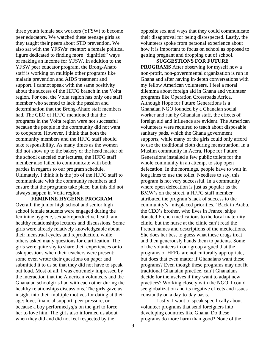three youth female sex workers (YFSW) to become peer educators. We watched these teenage girls as they taught their peers about STD prevention. We also sat with the YFSWs' mentor: a female political figure dedicated to finding more "dignified" ways of making an income for YFSW. In addition to the YFSW peer educator program, the Brong-Ahafo staff is working on multiple other programs like malaria prevention and AIDS treatment and support. I cannot speak with the same positivity about the success of the HFFG branch in the Volta region. For one, the Volta region has only one staff member who seemed to lack the passion and determination that the Brong-Ahafo staff members had. The CEO of HFFG mentioned that the programs in the Volta region were not successful because the people in the community did not want to cooperate. However, I think that both the community members and the HFFG staff should take responsibility. As many times as the women did not show up to the bakery or the head master of the school canceled our lectures, the HFFG staff member also failed to communicate with both parties in regards to our program schedule. Ultimately, I think it is the job of the HFFG staff to communicate with the community members and ensure that the programs take place, but this did not always happen in Volta region.

**FEMININE HYGEINE PROGRAM**  Overall, the junior high school and senior high school female students were engaged during the feminine hygiene, sexual/reproductive health and healthy relationships lectures and discussions. Some girls were already relatively knowledgeable about their menstrual cycles and reproduction, while others asked many questions for clarification. The girls were quite shy to share their experiences or to ask questions when their teachers were present; some even wrote their questions on paper and submitted it to us so that they did not have to speak out loud. Most of all, I was extremely impressed by the interaction that the American volunteers and the Ghanaian schoolgirls had with each other during the healthy relationships discussions. The girls gave us insight into their multiple motives for dating at their age: love, financial support, peer pressure, or because a boy performed *juju* on the girl to force her to love him. The girls also informed us about when they did and did not feel respected by the

opposite sex and ways that they could communicate their disapproval for being disrespected. Lastly, the volunteers spoke from personal experience about how it is important to focus on school as opposed to getting pregnant and dropping out of school.

**SUGGESTIONS FOR FUTURE PROGRAMS** After observing for myself how a non-profit, non-governmental organization is run in Ghana and after having in-depth conversations with my fellow American volunteers, I feel a moral dilemma about foreign aid in Ghana and volunteer programs like Operation Crossroads Africa. Although Hope for Future Generations is a Ghanaian NGO founded by a Ghanaian social worker and run by Ghanaian staff, the effects of foreign aid and influence are evident. The American volunteers were required to teach about disposable sanitary pads, which the Ghana government supports, while many of the girls could only afford to use the traditional cloth during menstruation. In a Muslim community in Accra, Hope for Future Generations installed a few public toilets for the whole community in an attempt to stop open defecation. In the mornings, people have to wait in long lines to use the toilet. Needless to say, this program is not very successful. In a community where open defecation is just as popular as the BMW's on the street, a HFFG staff member attributed the program's lack of success to the community's "misplaced priorities." Back in Atabu, the CEO's brother, who lives in France, ships donated French medications to the local maternity clinic, but the nurse at the clinic can't read the French names and descriptions of the medications. She does her best to guess what these drugs treat and then generously hands them to patients. Some of the volunteers in our group argued that the programs of HFFG are not culturally appropriate, but does that even matter if Ghanaians want these programs? Even though these programs may not fit traditional Ghanaian practice, can't Ghanaians decide for themselves if they want to adapt new practices? Working closely with the NGO, I could see globalization and its negative effects and issues constantly on a day-to-day basis.

Lastly, I want to speak specifically about volunteer programs that send foreigners into developing countries like Ghana. Do these programs do more harm than good? None of the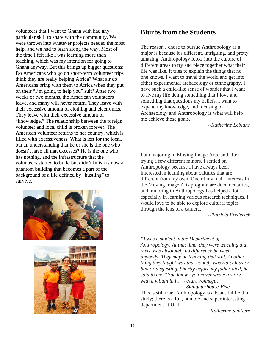volunteers that I went to Ghana with had any particular skill to share with the community. We were thrown into whatever projects needed the most help, and we had to learn along the way. Most of the time I felt like I was learning more than teaching, which was my intention for going to Ghana anyway. But this brings up bigger questions: Do Americans who go on short-term volunteer trips think they are really helping Africa? What air do Americans bring with them to Africa when they put on their "I'm going to help you" suit? After two weeks or two months, the American volunteers leave, and many will never return. They leave with their excessive amount of clothing and electronics. They leave with their excessive amount of "knowledge." The relationship between the foreign volunteer and local child is broken forever. The American volunteer returns to her country, which is filled with excessiveness. What is left for the local, but an understanding that he or she is the one who doesn't have all that excesses? He is the one who has nothing, and the infrastructure that the volunteers started to build but didn't finish is now a phantom building that becomes a part of the background of a life defined by "hustling" to survive.





# **Blurbs from the Students**

The reason I chose to pursue Anthropology as a major is because it's different, intriguing, and pretty amazing. Anthropology looks into the culture of different areas to try and piece together what their life was like. It tries to explain the things that no one knows. I want to travel the world and get into either experimental archaeology or ethnography. I have such a child-like sense of wonder that I want to live my life doing something that I love and something that questions my beliefs. I want to expand my knowledge, and focusing on Archaeology and Anthropology is what will help me achieve those goals.

*--Katherine Leblanc*

I am majoring in Moving Image Arts, and after trying a few different minors, I settled on Anthropology because I have always been interested in learning about cultures that are different from my own. One of my main interests in the Moving Image Arts program are documentaries, and minoring in Anthropology has helped a lot, especially in learning various research techniques. I would love to be able to explore cultural topics through the lens of a camera.

*--Patricia Frederick*

*"I was a student in the Department of Anthropology. At that time, they were teaching that there was absolutely no difference between anybody. They may be teaching that still. Another thing they taught was that nobody was ridiculous or bad or disgusting. Shortly before my father died, he said to me, "You know--you never wrote a story with a villain in it.'" --Kurt Vonnegut* 

 *Slaughterhouse-Five* This is still true. Anthropology is a beautiful field of study; there is a fun, humble and super interesting department at ULL*.* 

*--Katherine Sinitiere*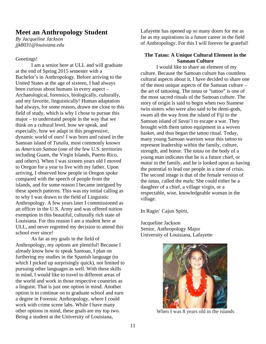### **Meet an Anthropology Student**

*By Jacqueline Jackson jjk8031@louisiana.edu*

#### Greetings!

I am a senior here at ULL and will graduate at the end of Spring 2015 semester with a Bachelor's in Anthropology. Before arriving to the United States at the age of sixteen, I had always been curious about humans in every aspect – Archaeological, forensics, biologically, culturally, and my favorite, linguistically! Human adaptation had always, for some reason, drawn me close to this field of study, which is why I chose to pursue this major – to understand people in the way that we think on a cultural level, how we speak, and especially, how we adapt in this progressive, dynamic world of ours! I was born and raised in the Samoan island of *Tutuila*, most commonly known as *American Samoa* (one of the few U.S. territories including Guam, the Virgin Islands, Puerto Rico, and others). When I was sixteen years old I moved to Oregon for a year to live with my father. Upon arriving, I observed how people in Oregon spoke compared with the speech of people from the islands, and for some reason I became intrigued by these speech patterns. This was my initial calling as to why I was drawn to the field of Linguistic Anthropology. A few years later I commissioned as an officer in the U.S. Army and was offered tuition exemption in this beautiful, culturally rich state of Louisiana. For this reason I am a student here at ULL, and never regretted my decision to attend this school ever since!

As far as my goals in the field of Anthropology, my options are plentiful! Because I already know how to speak Samoan, I plan on furthering my studies in the Spanish language (to which I picked up surprisingly quick), not limited to pursuing other languages as well. With these skills in mind, I would like to travel to different areas of the world and work in those respective countries as a linguist. That is just one option in mind. Another option is to continue on to graduate school and earn a degree in Forensic Anthropology, where I could work with crime scene labs. While I have many other options in mind, these goals are my top two. Being a student at the University of Louisiana,

Lafayette has opened up so many doors for me as far as my aspirations in a future career in the field of Anthropology. For this I will forever be grateful!

#### **The Tatau: A Unique Cultural Element in the Samoan Culture**

I would like to share an element of my culture. Because the Samoan culture has countless cultural aspects about it, I have decided to share one of the most unique aspects of the Samoan culture – the art of tattooing. The *tatau* or "tattoo" is one of the most sacred rituals of the Samoan culture. The story of origin is said to begin when two Siamese twin sisters who were also said to be demi-gods, swam all the way from the island of Fiji to the Samoan island of *Savai'i* to escape a war. They brought with them tattoo equipment in a woven basket, and thus began the tattoo ritual. Today, many young Samoan warriors wear this tattoo to represent leadership within the family, culture, strength, and honor. The *tatau* on the body of a young man indicates that he is a future chief, or *matai* in the family, and he is looked upon as having the potential to lead our people in a time of crisis. The second image is that of the female version of the *tatau*, called the *malu*. She could either be a daughter of a chief, a village virgin, or a respectable, wise, knowledgeable woman in the village.

In Ragin' Cajun Spirit,

Jacqueline Jackson Senior, Anthropology Major University of Louisiana, Lafayette



When I was 8 years old in the islands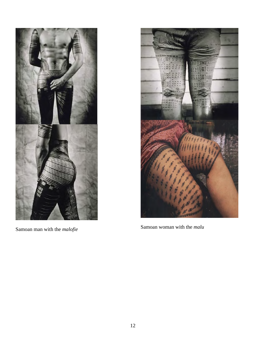

Samoan man with the *malofie*



Samoan woman with the *malu*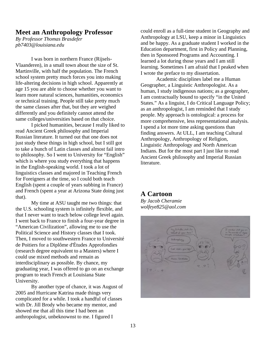#### **Meet an Anthropology Professor**

*By Professor Thomas Brasdefer pb7403@louisiana.edu*

I was born in northern France (Rijsels-Vlaanderen), in a small town about the size of St. Martinville, with half the population. The French school system pretty much forces you into making life-altering decisions in high school. Apparently at age 15 you are able to choose whether you want to learn more natural sciences, humanities, economics or technical training. People still take pretty much the same classes after that, but they are weighed differently and you definitely cannot attend the same colleges/universities based on that choice.

I picked humanities, because I really liked to read Ancient Greek philosophy and Imperial Russian literature. It turned out that one does not just study these things in high school, but I still got to take a bunch of Latin classes and almost fail intro to philosophy. So I went to University for "English" which is where you study everything that happens in the English-speaking world. I took a lot of linguistics classes and majored in Teaching French for Foreigners at the time, so I could both teach English (spent a couple of years subbing in France) and French (spent a year at Arizona State doing just that).

My time at ASU taught me two things: that the U.S. schooling system is infinitely flexible, and that I never want to teach below college level again. I went back to France to finish a four-year degree in "American Civilization", allowing me to use the Political Science and History classes that I took. Then, I moved to southwestern France to Université de Poitiers for a Diplôme d'Études Approfondies (research degree equivalent to a Masters) where I could use mixed methods and remain as interdisciplinary as possible. By chance, my graduating year, I was offered to go on an exchange program to teach French at Louisiana State University.

By another type of chance, it was August of 2005 and Hurricane Katrina made things very complicated for a while. I took a handful of classes with Dr. Jill Brody who became my mentor, and showed me that all this time I had been an anthropologist, unbeknownst to me. I figured I

could enroll as a full-time student in Geography and Anthropology at LSU, keep a minor in Linguistics and be happy. As a graduate student I worked in the Education department, first in Policy and Planning, then in Sponsored Programs and Accounting. I learned a lot during those years and I am still learning. Sometimes I am afraid that I peaked when I wrote the preface to my dissertation.

Academic disciplines label me a Human Geographer, a Linguistic Anthropologist. As a human, I study indigenous nations; as a geographer, I am contractually bound to specify "in the United States." As a linguist, I do Critical Language Policy; as an anthropologist, I am reminded that I study people. My approach is ontological: a process for more comprehensive, less representational analysis. I spend a lot more time asking questions than finding answers. At ULL, I am teaching Cultural Anthropology, Anthropology of Religion, Linguistic Anthropology and North American Indians. But for the most part I just like to read Ancient Greek philosophy and Imperial Russian literature.

#### **A Cartoon**

*By Jacob Cheramie wolfeye825@aol.com*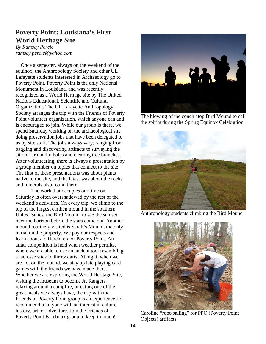# **Poverty Point: Louisiana's First World Heritage Site**

*By Ramsey Percle ramsey.percle@yahoo.com*

Once a semester, always on the weekend of the equinox, the Anthropology Society and other UL Lafayette students interested in Archaeology go to Poverty Point. Poverty Point is the only National Monument in Louisiana, and was recently recognized as a World Heritage site by The United Nations Educational, Scientific and Cultural Organization. The UL Lafayette Anthropology Society arranges the trip with the Friends of Poverty Point volunteer organization, which anyone can and is encouraged to join. While our group is there, we spend Saturday working on the archaeological site doing preservation jobs that have been delegated to us by site staff. The jobs always vary, ranging from bagging and discovering artifacts to surveying the site for armadillo holes and clearing tree branches. After volunteering, there is always a presentation by a group member on topics that connect to the site. The first of these presentations was about plants native to the site, and the latest was about the rocks and minerals also found there.

The work that occupies our time on Saturday is often overshadowed by the rest of the weekend's activities. On every trip, we climb to the top of the largest earthen mound in the southern United States, the Bird Mound, to see the sun set over the horizon before the stars come out. Another mound routinely visited is Sarah's Mound, the only burial on the property. We pay our respects and learn about a different era of Poverty Point. An atlatl competition is held when weather permits, where we are able to use an ancient tool resembling a lacrosse stick to throw darts. At night, when we are not on the mound, we stay up late playing card games with the friends we have made there. Whether we are exploring the World Heritage Site, visiting the museum to become Jr. Rangers, relaxing around a campfire, or eating one of the great meals we always have, the trip with the Friends of Poverty Point group is an experience I'd recommend to anyone with an interest in culture, history, art, or adventure. Join the Friends of Poverty Point Facebook group to keep in touch!



 The blowing of the conch atop Bird Mound to call the spirits during the Spring Equinox Celebration



Anthropology students climbing the Bird Mound



 Caroline "root-balling" for PPO (Poverty Point Objects) artifacts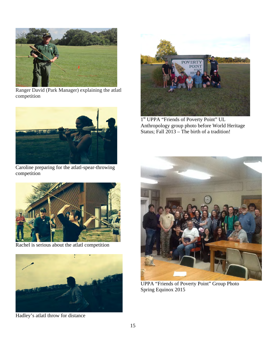

 Ranger David (Park Manager) explaining the atlatl competition



Caroline preparing for the atlatl-spear-throwing competition



Rachel is serious about the atlatl competition



Hadley's atlatl throw for distance



1<sup>st</sup> UPPA "Friends of Poverty Point" UL Anthropology group photo before World Heritage Status; Fall 2013 – The birth of a tradition!



UPPA "Friends of Poverty Point" Group Photo Spring Equinox 2015